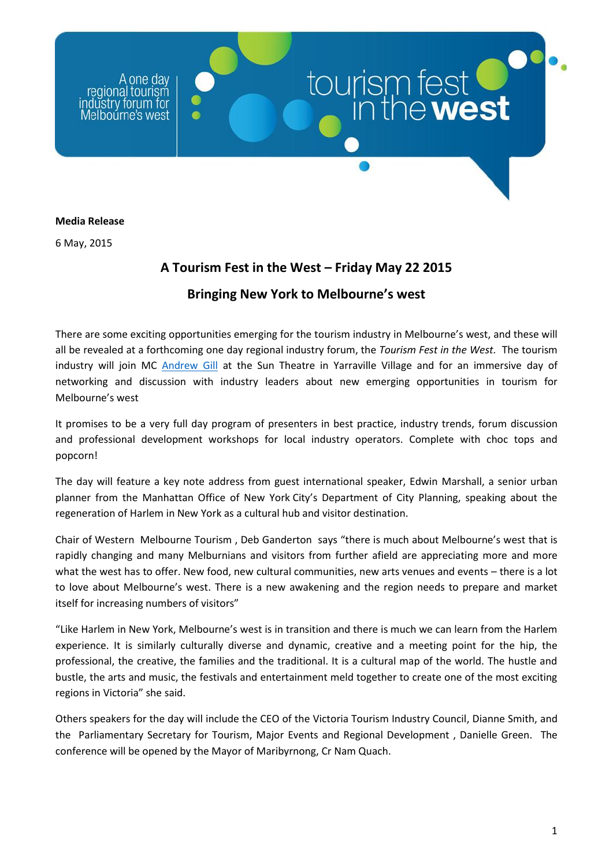one day regional tourism ūstrv forum Melbourne's west

## **Media Release**

6 May, 2015

## **A Tourism Fest in the West – Friday May 22 2015**

tourism fest

## **Bringing New York to Melbourne's west**

There are some exciting opportunities emerging for the tourism industry in Melbourne's west, and these will all be revealed at a forthcoming one day regional industry forum, the *Tourism Fest in the West.* The tourism industry will join MC [Andrew Gill](https://www.youtube.com/watch?v=ooPyNHW_YPU) at the Sun Theatre in Yarraville Village and for an immersive day of networking and discussion with industry leaders about new emerging opportunities in tourism for Melbourne's west

It promises to be a very full day program of presenters in best practice, industry trends, forum discussion and professional development workshops for local industry operators. Complete with choc tops and popcorn!

The day will feature a key note address from guest international speaker, Edwin Marshall, a senior urban planner from the Manhattan Office of New York City's Department of City Planning, speaking about the regeneration of Harlem in New York as a cultural hub and visitor destination.

Chair of Western Melbourne Tourism , Deb Ganderton says "there is much about Melbourne's west that is rapidly changing and many Melburnians and visitors from further afield are appreciating more and more what the west has to offer. New food, new cultural communities, new arts venues and events – there is a lot to love about Melbourne's west. There is a new awakening and the region needs to prepare and market itself for increasing numbers of visitors"

"Like Harlem in New York, Melbourne's west is in transition and there is much we can learn from the Harlem experience. It is similarly culturally diverse and dynamic, creative and a meeting point for the hip, the professional, the creative, the families and the traditional. It is a cultural map of the world. The hustle and bustle, the arts and music, the festivals and entertainment meld together to create one of the most exciting regions in Victoria" she said.

Others speakers for the day will include the CEO of the Victoria Tourism Industry Council, Dianne Smith, and the Parliamentary Secretary for Tourism, Major Events and Regional Development , Danielle Green. The conference will be opened by the Mayor of Maribyrnong, Cr Nam Quach.